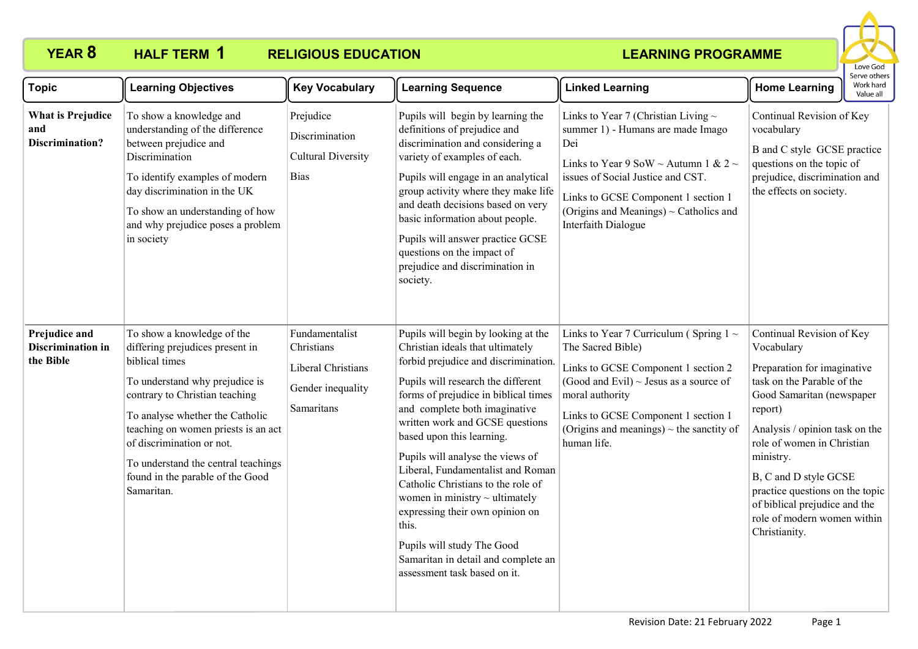#### **YEAR 8 HALF TERM RELIGIOUS EDUCATION HALF TERM 1**



| <b>Topic</b>                                              | <b>Learning Objectives</b>                                                                                                                                                                                                                                                                                                                          | <b>Key Vocabulary</b>                                                                 | <b>Learning Sequence</b>                                                                                                                                                                                                                                                                                                                                                                                                                                                                                                                                                                              | <b>Linked Learning</b>                                                                                                                                                                                                                                                           | יכו עכ טנווכו<br>Work hard<br><b>Home Learning</b><br>Value all                                                                                                                                                                                                                                                                                                        |
|-----------------------------------------------------------|-----------------------------------------------------------------------------------------------------------------------------------------------------------------------------------------------------------------------------------------------------------------------------------------------------------------------------------------------------|---------------------------------------------------------------------------------------|-------------------------------------------------------------------------------------------------------------------------------------------------------------------------------------------------------------------------------------------------------------------------------------------------------------------------------------------------------------------------------------------------------------------------------------------------------------------------------------------------------------------------------------------------------------------------------------------------------|----------------------------------------------------------------------------------------------------------------------------------------------------------------------------------------------------------------------------------------------------------------------------------|------------------------------------------------------------------------------------------------------------------------------------------------------------------------------------------------------------------------------------------------------------------------------------------------------------------------------------------------------------------------|
| <b>What is Prejudice</b><br>and<br><b>Discrimination?</b> | To show a knowledge and<br>understanding of the difference<br>between prejudice and<br>Discrimination<br>To identify examples of modern<br>day discrimination in the UK<br>To show an understanding of how<br>and why prejudice poses a problem<br>in society                                                                                       | Prejudice<br>Discrimination<br><b>Cultural Diversity</b><br><b>Bias</b>               | Pupils will begin by learning the<br>definitions of prejudice and<br>discrimination and considering a<br>variety of examples of each.<br>Pupils will engage in an analytical<br>group activity where they make life<br>and death decisions based on very<br>basic information about people.<br>Pupils will answer practice GCSE<br>questions on the impact of<br>prejudice and discrimination in<br>society.                                                                                                                                                                                          | Links to Year 7 (Christian Living $\sim$<br>summer 1) - Humans are made Imago<br>Dei<br>Links to Year 9 SoW ~ Autumn 1 & 2 ~<br>issues of Social Justice and CST.<br>Links to GCSE Component 1 section 1<br>(Origins and Meanings) ~ Catholics and<br>Interfaith Dialogue        | Continual Revision of Key<br>vocabulary<br>B and C style GCSE practice<br>questions on the topic of<br>prejudice, discrimination and<br>the effects on society.                                                                                                                                                                                                        |
| Prejudice and<br>Discrimination in<br>the Bible           | To show a knowledge of the<br>differing prejudices present in<br>biblical times<br>To understand why prejudice is<br>contrary to Christian teaching<br>To analyse whether the Catholic<br>teaching on women priests is an act<br>of discrimination or not.<br>To understand the central teachings<br>found in the parable of the Good<br>Samaritan. | Fundamentalist<br>Christians<br>Liberal Christians<br>Gender inequality<br>Samaritans | Pupils will begin by looking at the<br>Christian ideals that ultimately<br>forbid prejudice and discrimination.<br>Pupils will research the different<br>forms of prejudice in biblical times<br>and complete both imaginative<br>written work and GCSE questions<br>based upon this learning.<br>Pupils will analyse the views of<br>Liberal, Fundamentalist and Roman<br>Catholic Christians to the role of<br>women in ministry $\sim$ ultimately<br>expressing their own opinion on<br>this.<br>Pupils will study The Good<br>Samaritan in detail and complete an<br>assessment task based on it. | Links to Year 7 Curriculum (Spring $1 \sim$<br>The Sacred Bible)<br>Links to GCSE Component 1 section 2<br>(Good and Evil) $\sim$ Jesus as a source of<br>moral authority<br>Links to GCSE Component 1 section 1<br>(Origins and meanings) $\sim$ the sanctity of<br>human life. | Continual Revision of Key<br>Vocabulary<br>Preparation for imaginative<br>task on the Parable of the<br>Good Samaritan (newspaper<br>report)<br>Analysis / opinion task on the<br>role of women in Christian<br>ministry.<br>B, C and D style GCSE<br>practice questions on the topic<br>of biblical prejudice and the<br>role of modern women within<br>Christianity. |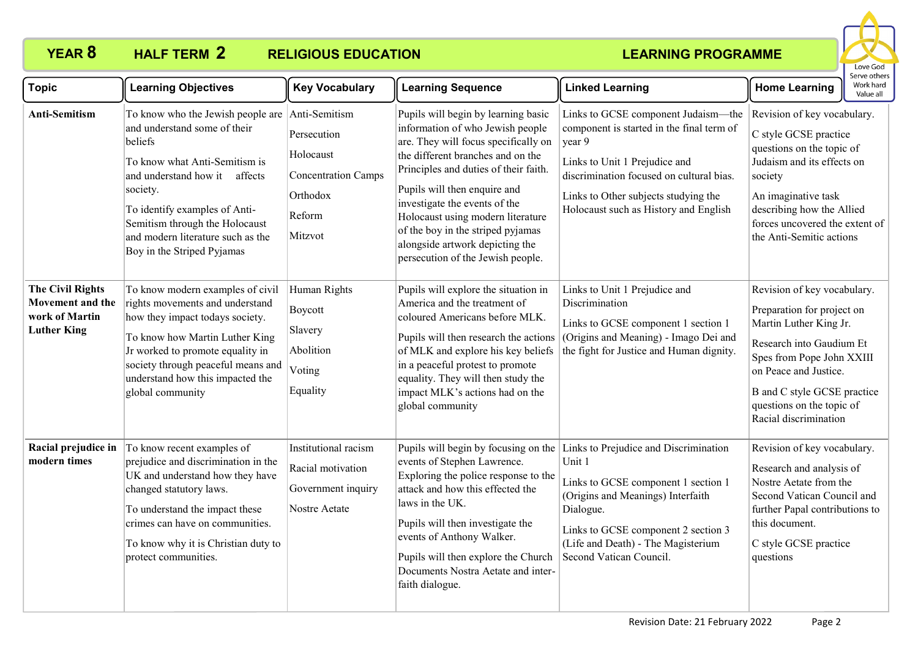## **YEAR 8 HALF TERM 2 RELIGIOUS EDUCATION**



| <b>Topic</b>                                                                        | <b>Learning Objectives</b>                                                                                                                                                                                                                                                                       | <b>Key Vocabulary</b>                                                                                    | <b>Learning Sequence</b>                                                                                                                                                                                                                                                                                                                                                                                         | <b>Linked Learning</b>                                                                                                                                                                                                                                   | <b>Home Learning</b>                                                                                                                                                                                                                                       | Work hard<br>Value all |
|-------------------------------------------------------------------------------------|--------------------------------------------------------------------------------------------------------------------------------------------------------------------------------------------------------------------------------------------------------------------------------------------------|----------------------------------------------------------------------------------------------------------|------------------------------------------------------------------------------------------------------------------------------------------------------------------------------------------------------------------------------------------------------------------------------------------------------------------------------------------------------------------------------------------------------------------|----------------------------------------------------------------------------------------------------------------------------------------------------------------------------------------------------------------------------------------------------------|------------------------------------------------------------------------------------------------------------------------------------------------------------------------------------------------------------------------------------------------------------|------------------------|
| Anti-Semitism                                                                       | To know who the Jewish people are<br>and understand some of their<br>beliefs<br>To know what Anti-Semitism is<br>and understand how it affects<br>society.<br>To identify examples of Anti-<br>Semitism through the Holocaust<br>and modern literature such as the<br>Boy in the Striped Pyjamas | Anti-Semitism<br>Persecution<br>Holocaust<br><b>Concentration Camps</b><br>Orthodox<br>Reform<br>Mitzvot | Pupils will begin by learning basic<br>information of who Jewish people<br>are. They will focus specifically on<br>the different branches and on the<br>Principles and duties of their faith.<br>Pupils will then enquire and<br>investigate the events of the<br>Holocaust using modern literature<br>of the boy in the striped pyjamas<br>alongside artwork depicting the<br>persecution of the Jewish people. | Links to GCSE component Judaism-the<br>component is started in the final term of<br>year 9<br>Links to Unit 1 Prejudice and<br>discrimination focused on cultural bias.<br>Links to Other subjects studying the<br>Holocaust such as History and English | Revision of key vocabulary.<br>C style GCSE practice<br>questions on the topic of<br>Judaism and its effects on<br>society<br>An imaginative task<br>describing how the Allied<br>forces uncovered the extent of<br>the Anti-Semitic actions               |                        |
| <b>The Civil Rights</b><br>Movement and the<br>work of Martin<br><b>Luther King</b> | To know modern examples of civil<br>rights movements and understand<br>how they impact todays society.<br>To know how Martin Luther King<br>Jr worked to promote equality in<br>society through peaceful means and<br>understand how this impacted the<br>global community                       | Human Rights<br>Boycott<br>Slavery<br>Abolition<br>Voting<br>Equality                                    | Pupils will explore the situation in<br>America and the treatment of<br>coloured Americans before MLK.<br>Pupils will then research the actions<br>of MLK and explore his key beliefs<br>in a peaceful protest to promote<br>equality. They will then study the<br>impact MLK's actions had on the<br>global community                                                                                           | Links to Unit 1 Prejudice and<br>Discrimination<br>Links to GCSE component 1 section 1<br>(Origins and Meaning) - Imago Dei and<br>the fight for Justice and Human dignity.                                                                              | Revision of key vocabulary.<br>Preparation for project on<br>Martin Luther King Jr.<br>Research into Gaudium Et<br>Spes from Pope John XXIII<br>on Peace and Justice.<br>B and C style GCSE practice<br>questions on the topic of<br>Racial discrimination |                        |
| Racial prejudice in<br>modern times                                                 | To know recent examples of<br>prejudice and discrimination in the<br>UK and understand how they have<br>changed statutory laws.<br>To understand the impact these<br>crimes can have on communities.<br>To know why it is Christian duty to<br>protect communities.                              | Institutional racism<br>Racial motivation<br>Government inquiry<br>Nostre Aetate                         | Pupils will begin by focusing on the<br>events of Stephen Lawrence.<br>Exploring the police response to the<br>attack and how this effected the<br>laws in the UK.<br>Pupils will then investigate the<br>events of Anthony Walker.<br>Pupils will then explore the Church<br>Documents Nostra Aetate and inter-<br>faith dialogue.                                                                              | Links to Prejudice and Discrimination<br>Unit 1<br>Links to GCSE component 1 section 1<br>(Origins and Meanings) Interfaith<br>Dialogue.<br>Links to GCSE component 2 section 3<br>(Life and Death) - The Magisterium<br>Second Vatican Council.         | Revision of key vocabulary.<br>Research and analysis of<br>Nostre Aetate from the<br>Second Vatican Council and<br>further Papal contributions to<br>this document.<br>C style GCSE practice<br>questions                                                  |                        |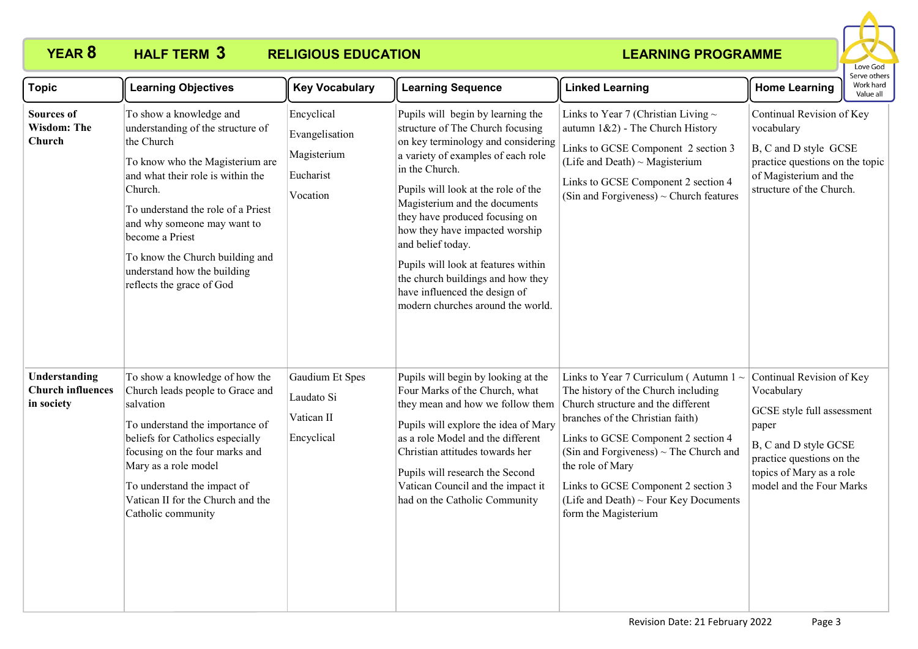# **YEAR 8 HALF TERM 3 RELIGIOUS EDUCATION**



| <b>Topic</b>                                            | <b>Learning Objectives</b>                                                                                                                                                                                                                                                                                                                           | <b>Key Vocabulary</b>                                                | <b>Learning Sequence</b>                                                                                                                                                                                                                                                                                                                                                                                                                                                               | <b>Linked Learning</b>                                                                                                                                                                                                                                                                                                                                                         | Serve others<br>Work hard<br><b>Home Learning</b><br>Value all                                                                                                                               |
|---------------------------------------------------------|------------------------------------------------------------------------------------------------------------------------------------------------------------------------------------------------------------------------------------------------------------------------------------------------------------------------------------------------------|----------------------------------------------------------------------|----------------------------------------------------------------------------------------------------------------------------------------------------------------------------------------------------------------------------------------------------------------------------------------------------------------------------------------------------------------------------------------------------------------------------------------------------------------------------------------|--------------------------------------------------------------------------------------------------------------------------------------------------------------------------------------------------------------------------------------------------------------------------------------------------------------------------------------------------------------------------------|----------------------------------------------------------------------------------------------------------------------------------------------------------------------------------------------|
| <b>Sources of</b><br><b>Wisdom: The</b><br>Church       | To show a knowledge and<br>understanding of the structure of<br>the Church<br>To know who the Magisterium are<br>and what their role is within the<br>Church.<br>To understand the role of a Priest<br>and why someone may want to<br>become a Priest<br>To know the Church building and<br>understand how the building<br>reflects the grace of God | Encyclical<br>Evangelisation<br>Magisterium<br>Eucharist<br>Vocation | Pupils will begin by learning the<br>structure of The Church focusing<br>on key terminology and considering<br>a variety of examples of each role<br>in the Church.<br>Pupils will look at the role of the<br>Magisterium and the documents<br>they have produced focusing on<br>how they have impacted worship<br>and belief today.<br>Pupils will look at features within<br>the church buildings and how they<br>have influenced the design of<br>modern churches around the world. | Links to Year 7 (Christian Living $\sim$<br>autumn $1&2$ ) - The Church History<br>Links to GCSE Component 2 section 3<br>(Life and Death) $\sim$ Magisterium<br>Links to GCSE Component 2 section 4<br>(Sin and Forgiveness) $\sim$ Church features                                                                                                                           | Continual Revision of Key<br>vocabulary<br>B, C and D style GCSE<br>practice questions on the topic<br>of Magisterium and the<br>structure of the Church.                                    |
| Understanding<br><b>Church influences</b><br>in society | To show a knowledge of how the<br>Church leads people to Grace and<br>salvation<br>To understand the importance of<br>beliefs for Catholics especially<br>focusing on the four marks and<br>Mary as a role model<br>To understand the impact of<br>Vatican II for the Church and the<br>Catholic community                                           | Gaudium Et Spes<br>Laudato Si<br>Vatican II<br>Encyclical            | Pupils will begin by looking at the<br>Four Marks of the Church, what<br>they mean and how we follow them<br>Pupils will explore the idea of Mary<br>as a role Model and the different<br>Christian attitudes towards her<br>Pupils will research the Second<br>Vatican Council and the impact it<br>had on the Catholic Community                                                                                                                                                     | Links to Year 7 Curriculum (Autumn $1 \sim$<br>The history of the Church including<br>Church structure and the different<br>branches of the Christian faith)<br>Links to GCSE Component 2 section 4<br>(Sin and Forgiveness) $\sim$ The Church and<br>the role of Mary<br>Links to GCSE Component 2 section 3<br>(Life and Death) ~ Four Key Documents<br>form the Magisterium | Continual Revision of Key<br>Vocabulary<br>GCSE style full assessment<br>paper<br>B, C and D style GCSE<br>practice questions on the<br>topics of Mary as a role<br>model and the Four Marks |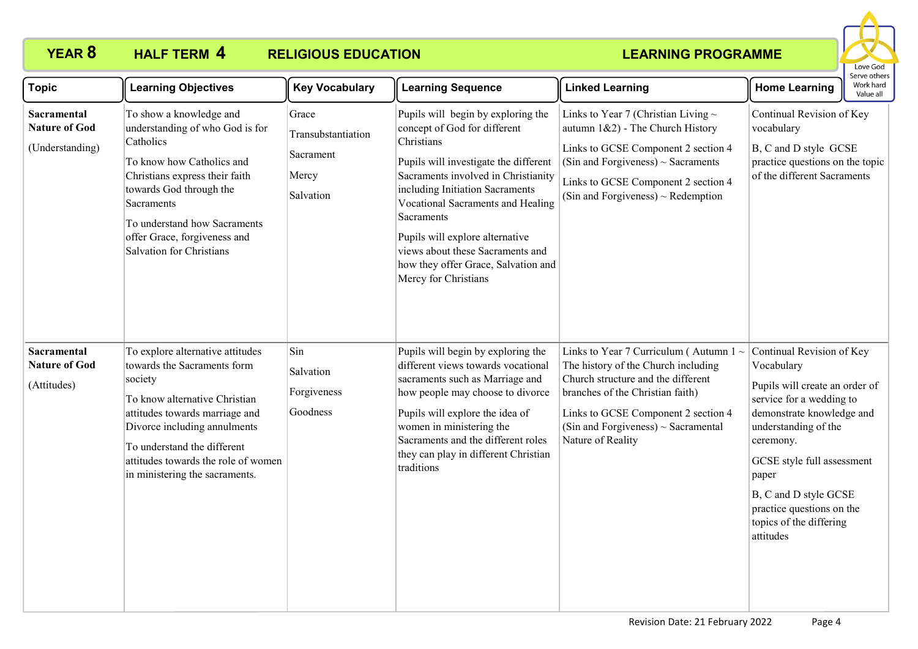## **YEAR 8 HALF TERM 4 RELIGIOUS EDUCATION**



| <b>Topic</b>                                           | <b>Learning Objectives</b>                                                                                                                                                                                                                                                            | <b>Key Vocabulary</b>                                          | <b>Learning Sequence</b>                                                                                                                                                                                                                                                                                                                                                                     | <b>Linked Learning</b>                                                                                                                                                                                                                                               | <b>Home Learning</b>                                                                                                                                                                                                                                                                                         | Serve others<br>Work hard<br>Value all |
|--------------------------------------------------------|---------------------------------------------------------------------------------------------------------------------------------------------------------------------------------------------------------------------------------------------------------------------------------------|----------------------------------------------------------------|----------------------------------------------------------------------------------------------------------------------------------------------------------------------------------------------------------------------------------------------------------------------------------------------------------------------------------------------------------------------------------------------|----------------------------------------------------------------------------------------------------------------------------------------------------------------------------------------------------------------------------------------------------------------------|--------------------------------------------------------------------------------------------------------------------------------------------------------------------------------------------------------------------------------------------------------------------------------------------------------------|----------------------------------------|
| Sacramental<br><b>Nature of God</b><br>(Understanding) | To show a knowledge and<br>understanding of who God is for<br>Catholics<br>To know how Catholics and<br>Christians express their faith<br>towards God through the<br>Sacraments<br>To understand how Sacraments<br>offer Grace, forgiveness and<br>Salvation for Christians           | Grace<br>Transubstantiation<br>Sacrament<br>Mercy<br>Salvation | Pupils will begin by exploring the<br>concept of God for different<br>Christians<br>Pupils will investigate the different<br>Sacraments involved in Christianity<br>including Initiation Sacraments<br>Vocational Sacraments and Healing<br>Sacraments<br>Pupils will explore alternative<br>views about these Sacraments and<br>how they offer Grace, Salvation and<br>Mercy for Christians | Links to Year 7 (Christian Living $\sim$<br>autumn $1&2$ ) - The Church History<br>Links to GCSE Component 2 section 4<br>(Sin and Forgiveness) $\sim$ Sacraments<br>Links to GCSE Component 2 section 4<br>(Sin and Forgiveness) $\sim$ Redemption                  | Continual Revision of Key<br>vocabulary<br>B, C and D style GCSE<br>practice questions on the topic<br>of the different Sacraments                                                                                                                                                                           |                                        |
| Sacramental<br><b>Nature of God</b><br>(Attitudes)     | To explore alternative attitudes<br>towards the Sacraments form<br>society<br>To know alternative Christian<br>attitudes towards marriage and<br>Divorce including annulments<br>To understand the different<br>attitudes towards the role of women<br>in ministering the sacraments. | Sin<br>Salvation<br>Forgiveness<br>Goodness                    | Pupils will begin by exploring the<br>different views towards vocational<br>sacraments such as Marriage and<br>how people may choose to divorce<br>Pupils will explore the idea of<br>women in ministering the<br>Sacraments and the different roles<br>they can play in different Christian<br>traditions                                                                                   | Links to Year 7 Curriculum (Autumn $1 \sim$<br>The history of the Church including<br>Church structure and the different<br>branches of the Christian faith)<br>Links to GCSE Component 2 section 4<br>(Sin and Forgiveness) $\sim$ Sacramental<br>Nature of Reality | Continual Revision of Key<br>Vocabulary<br>Pupils will create an order of<br>service for a wedding to<br>demonstrate knowledge and<br>understanding of the<br>ceremony.<br>GCSE style full assessment<br>paper<br>B, C and D style GCSE<br>practice questions on the<br>topics of the differing<br>attitudes |                                        |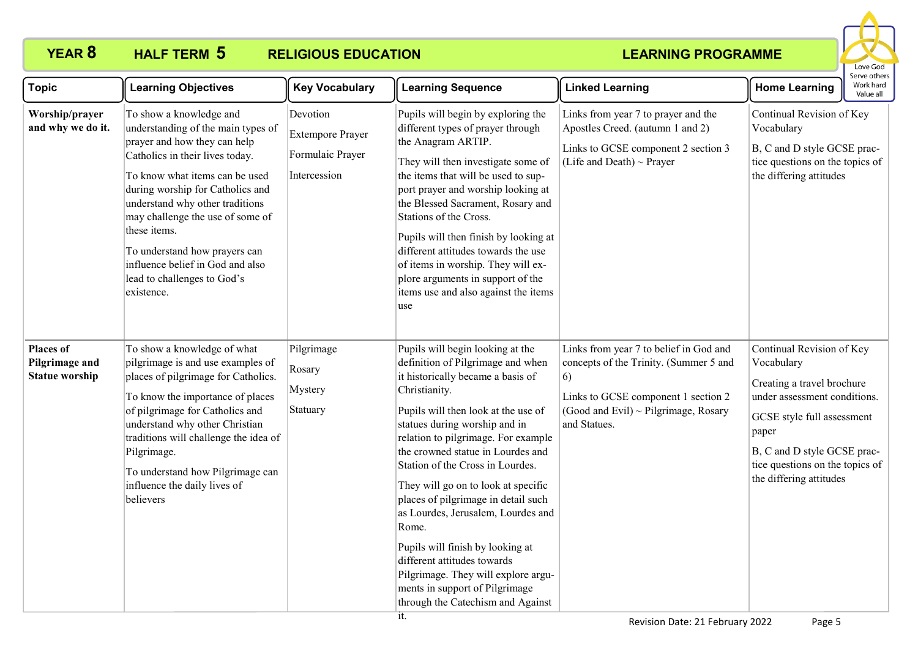## **YEAR 8 HALF TERM 5 RELIGIOUS EDUCATION**



| <b>Topic</b>                                                | <b>Learning Objectives</b>                                                                                                                                                                                                                                                                                                                                                                                      | <b>Key Vocabulary</b>                                                   | <b>Learning Sequence</b>                                                                                                                                                                                                                                                                                                                                                                                                                                                                                                                                                                                                          | <b>Linked Learning</b>                                                                                                                                                                | <b>Home Learning</b>                                                                                                                                                                                                                      | Serve others<br>Work hard<br>Value all |
|-------------------------------------------------------------|-----------------------------------------------------------------------------------------------------------------------------------------------------------------------------------------------------------------------------------------------------------------------------------------------------------------------------------------------------------------------------------------------------------------|-------------------------------------------------------------------------|-----------------------------------------------------------------------------------------------------------------------------------------------------------------------------------------------------------------------------------------------------------------------------------------------------------------------------------------------------------------------------------------------------------------------------------------------------------------------------------------------------------------------------------------------------------------------------------------------------------------------------------|---------------------------------------------------------------------------------------------------------------------------------------------------------------------------------------|-------------------------------------------------------------------------------------------------------------------------------------------------------------------------------------------------------------------------------------------|----------------------------------------|
| Worship/prayer<br>and why we do it.                         | To show a knowledge and<br>understanding of the main types of<br>prayer and how they can help<br>Catholics in their lives today.<br>To know what items can be used<br>during worship for Catholics and<br>understand why other traditions<br>may challenge the use of some of<br>these items.<br>To understand how prayers can<br>influence belief in God and also<br>lead to challenges to God's<br>existence. | Devotion<br><b>Extempore Prayer</b><br>Formulaic Prayer<br>Intercession | Pupils will begin by exploring the<br>different types of prayer through<br>the Anagram ARTIP.<br>They will then investigate some of<br>the items that will be used to sup-<br>port prayer and worship looking at<br>the Blessed Sacrament, Rosary and<br>Stations of the Cross.<br>Pupils will then finish by looking at<br>different attitudes towards the use<br>of items in worship. They will ex-<br>plore arguments in support of the<br>items use and also against the items<br>use                                                                                                                                         | Links from year 7 to prayer and the<br>Apostles Creed. (autumn 1 and 2)<br>Links to GCSE component 2 section 3<br>(Life and Death) $\sim$ Prayer                                      | Continual Revision of Key<br>Vocabulary<br>B, C and D style GCSE prac-<br>tice questions on the topics of<br>the differing attitudes                                                                                                      |                                        |
| <b>Places of</b><br>Pilgrimage and<br><b>Statue worship</b> | To show a knowledge of what<br>pilgrimage is and use examples of<br>places of pilgrimage for Catholics.<br>To know the importance of places<br>of pilgrimage for Catholics and<br>understand why other Christian<br>traditions will challenge the idea of<br>Pilgrimage.<br>To understand how Pilgrimage can<br>influence the daily lives of<br>believers                                                       | Pilgrimage<br>Rosary<br>Mystery<br>Statuary                             | Pupils will begin looking at the<br>definition of Pilgrimage and when<br>it historically became a basis of<br>Christianity.<br>Pupils will then look at the use of<br>statues during worship and in<br>relation to pilgrimage. For example<br>the crowned statue in Lourdes and<br>Station of the Cross in Lourdes.<br>They will go on to look at specific<br>places of pilgrimage in detail such<br>as Lourdes, Jerusalem, Lourdes and<br>Rome.<br>Pupils will finish by looking at<br>different attitudes towards<br>Pilgrimage. They will explore argu-<br>ments in support of Pilgrimage<br>through the Catechism and Against | Links from year 7 to belief in God and<br>concepts of the Trinity. (Summer 5 and<br>6)<br>Links to GCSE component 1 section 2<br>(Good and Evil) ~ Pilgrimage, Rosary<br>and Statues. | Continual Revision of Key<br>Vocabulary<br>Creating a travel brochure<br>under assessment conditions.<br>GCSE style full assessment<br>paper<br>B, C and D style GCSE prac-<br>tice questions on the topics of<br>the differing attitudes |                                        |